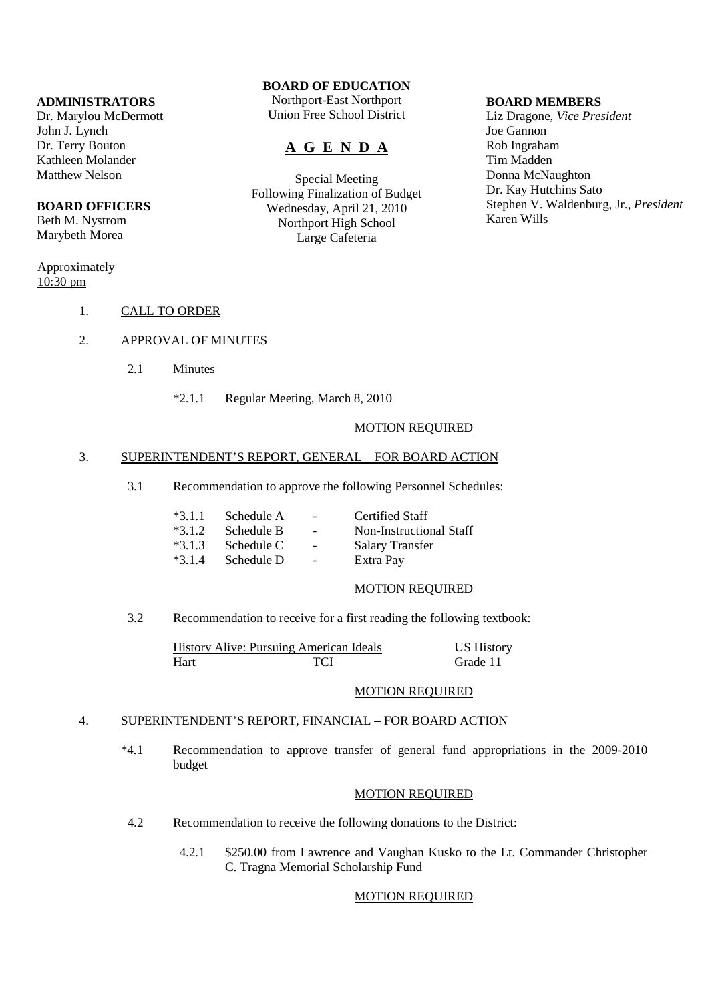### **ADMINISTRATORS**

Dr. Marylou McDermott John J. Lynch Dr. Terry Bouton Kathleen Molander Matthew Nelson

## **BOARD OFFICERS**

Beth M. Nystrom Marybeth Morea

## Approximately  $10:30 \text{ pm}$

## **BOARD OF EDUCATION**

Northport-East Northport Union Free School District

# **A G E N D A**

Special Meeting Following Finalization of Budget Wednesday, April 21, 2010 Northport High School Large Cafeteria

#### **BOARD MEMBERS**

Liz Dragone, *Vice President* Joe Gannon Rob Ingraham Tim Madden Donna McNaughton Dr. Kay Hutchins Sato Stephen V. Waldenburg, Jr., *President* Karen Wills

- 1. CALL TO ORDER
- 2. APPROVAL OF MINUTES
	- 2.1 Minutes
		- \*2.1.1 Regular Meeting, March 8, 2010

## MOTION REQUIRED

## 3. SUPERINTENDENT'S REPORT, GENERAL – FOR BOARD ACTION

3.1 Recommendation to approve the following Personnel Schedules:

| $*3.1.1$ Schedule A - |                                   | Certified Staff         |
|-----------------------|-----------------------------------|-------------------------|
| $*3.1.2$ Schedule B   | and the company of                | Non-Instructional Staff |
| $*3.1.3$ Schedule C   | <b>Contract Contract Contract</b> | Salary Transfer         |
| $*3.1.4$ Schedule D   | and the state of the              | Extra Pay               |

### MOTION REQUIRED

3.2 Recommendation to receive for a first reading the following textbook:

|      | <b>History Alive: Pursuing American Ideals</b> | <b>US History</b> |
|------|------------------------------------------------|-------------------|
| Hart | TCI                                            | Grade 11          |

#### MOTION REQUIRED

#### 4. SUPERINTENDENT'S REPORT, FINANCIAL – FOR BOARD ACTION

 \*4.1 Recommendation to approve transfer of general fund appropriations in the 2009-2010 budget

#### MOTION REQUIRED

- 4.2 Recommendation to receive the following donations to the District:
	- 4.2.1 \$250.00 from Lawrence and Vaughan Kusko to the Lt. Commander Christopher C. Tragna Memorial Scholarship Fund

## MOTION REQUIRED